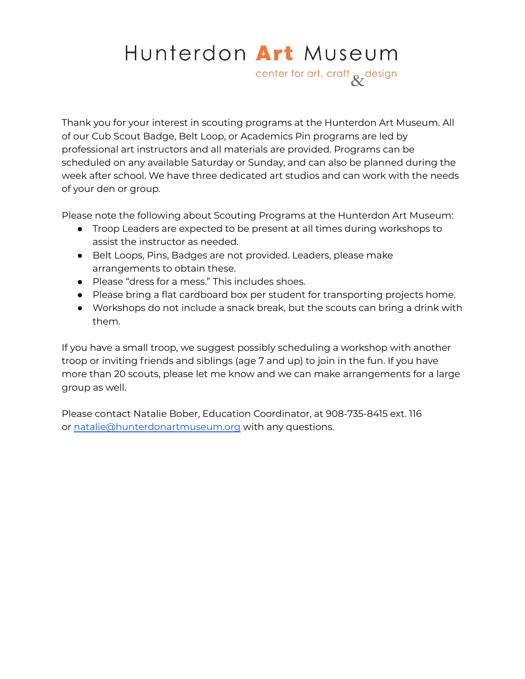# Hunterdon Art Museum

center for art, craft & design

Thank you for your interest in scouting programs at the Hunterdon Art Museum. All of our Cub Scout Badge, Belt Loop, or Academics Pin programs are led by professional art instructors and all materials are provided. Programs can be scheduled on any available Saturday or Sunday, and can also be planned during the week after school. We have three dedicated art studios and can work with the needs of your den or group.

Please note the following about Scouting Programs at the Hunterdon Art Museum:

- Troop Leaders are expected to be present at all times during workshops to assist the instructor as needed.
- Belt Loops, Pins, Badges are not provided. Leaders, please make arrangements to obtain these.
- Please "dress for a mess." This includes shoes.
- Please bring a flat cardboard box per student for transporting projects home.
- Workshops do not include a snack break, but the scouts can bring a drink with them.

If you have a small troop, we suggest possibly scheduling a workshop with another troop or inviting friends and siblings (age 7 and up) to join in the fun. If you have more than 20 scouts, please let me know and we can make arrangements for a large group as well.

Please contact Natalie Bober, Education Coordinator, at 908-735-8415 ext. 116 or [natalie@hunterdonartmuseum.org](mailto:natalie@hunterdonartmuseum.org) with any questions.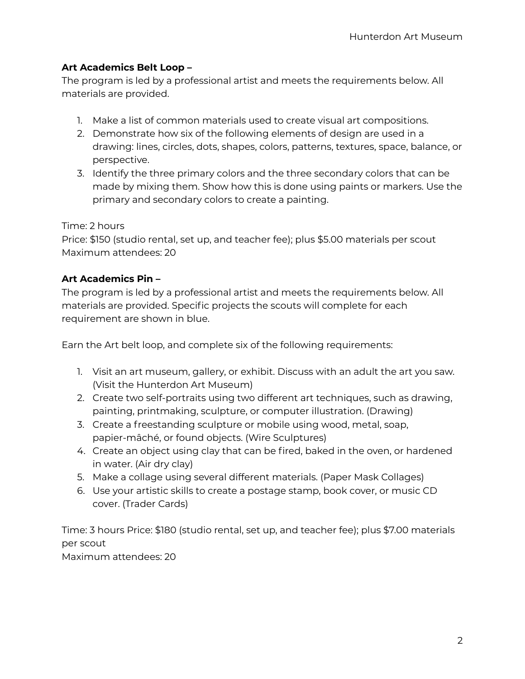## **Art Academics Belt Loop –**

The program is led by a professional artist and meets the requirements below. All materials are provided.

- 1. Make a list of common materials used to create visual art compositions.
- 2. Demonstrate how six of the following elements of design are used in a drawing: lines, circles, dots, shapes, colors, patterns, textures, space, balance, or perspective.
- 3. Identify the three primary colors and the three secondary colors that can be made by mixing them. Show how this is done using paints or markers. Use the primary and secondary colors to create a painting.

#### Time: 2 hours

Price: \$150 (studio rental, set up, and teacher fee); plus \$5.00 materials per scout Maximum attendees: 20

## **Art Academics Pin –**

The program is led by a professional artist and meets the requirements below. All materials are provided. Specific projects the scouts will complete for each requirement are shown in blue.

Earn the Art belt loop, and complete six of the following requirements:

- 1. Visit an art museum, gallery, or exhibit. Discuss with an adult the art you saw. (Visit the Hunterdon Art Museum)
- 2. Create two self-portraits using two different art techniques, such as drawing, painting, printmaking, sculpture, or computer illustration. (Drawing)
- 3. Create a freestanding sculpture or mobile using wood, metal, soap, papier-mâché, or found objects. (Wire Sculptures)
- 4. Create an object using clay that can be fired, baked in the oven, or hardened in water. (Air dry clay)
- 5. Make a collage using several different materials. (Paper Mask Collages)
- 6. Use your artistic skills to create a postage stamp, book cover, or music CD cover. (Trader Cards)

Time: 3 hours Price: \$180 (studio rental, set up, and teacher fee); plus \$7.00 materials per scout

Maximum attendees: 20